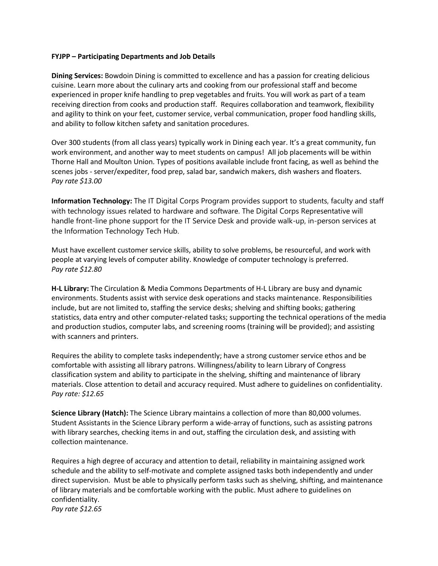## **FYJPP – Participating Departments and Job Details**

**Dining Services:** Bowdoin Dining is committed to excellence and has a passion for creating delicious cuisine. Learn more about the culinary arts and cooking from our professional staff and become experienced in proper knife handling to prep vegetables and fruits. You will work as part of a team receiving direction from cooks and production staff. Requires collaboration and teamwork, flexibility and agility to think on your feet, customer service, verbal communication, proper food handling skills, and ability to follow kitchen safety and sanitation procedures.

Over 300 students (from all class years) typically work in Dining each year. It's a great community, fun work environment, and another way to meet students on campus! All job placements will be within Thorne Hall and Moulton Union. Types of positions available include front facing, as well as behind the scenes jobs - server/expediter, food prep, salad bar, sandwich makers, dish washers and floaters. *Pay rate \$13.00*

**Information Technology:** The IT Digital Corps Program provides support to students, faculty and staff with technology issues related to hardware and software. The Digital Corps Representative will handle front-line phone support for the IT Service Desk and provide walk-up, in-person services at the Information Technology Tech Hub.

Must have excellent customer service skills, ability to solve problems, be resourceful, and work with people at varying levels of computer ability. Knowledge of computer technology is preferred. *Pay rate \$12.80*

**H-L Library:** The Circulation & Media Commons Departments of H-L Library are busy and dynamic environments. Students assist with service desk operations and stacks maintenance. Responsibilities include, but are not limited to, staffing the service desks; shelving and shifting books; gathering statistics, data entry and other computer-related tasks; supporting the technical operations of the media and production studios, computer labs, and screening rooms (training will be provided); and assisting with scanners and printers.

Requires the ability to complete tasks independently; have a strong customer service ethos and be comfortable with assisting all library patrons. Willingness/ability to learn Library of Congress classification system and ability to participate in the shelving, shifting and maintenance of library materials. Close attention to detail and accuracy required. Must adhere to guidelines on confidentiality. *Pay rate: \$12.65*

**Science Library (Hatch):** The Science Library maintains a collection of more than 80,000 volumes. Student Assistants in the Science Library perform a wide-array of functions, such as assisting patrons with library searches, checking items in and out, staffing the circulation desk, and assisting with collection maintenance.

Requires a high degree of accuracy and attention to detail, reliability in maintaining assigned work schedule and the ability to self-motivate and complete assigned tasks both independently and under direct supervision. Must be able to physically perform tasks such as shelving, shifting, and maintenance of library materials and be comfortable working with the public. Must adhere to guidelines on confidentiality. *Pay rate \$12.65*